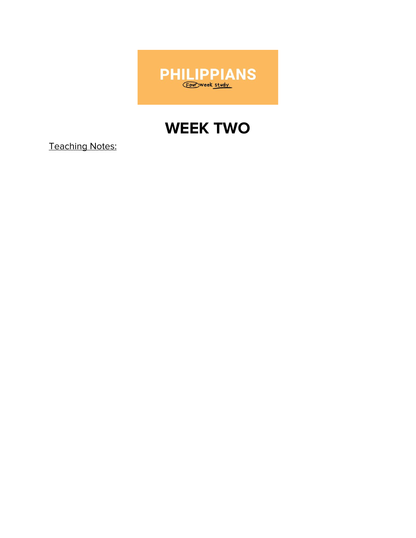

# **WEEK TWO**

**Teaching Notes:**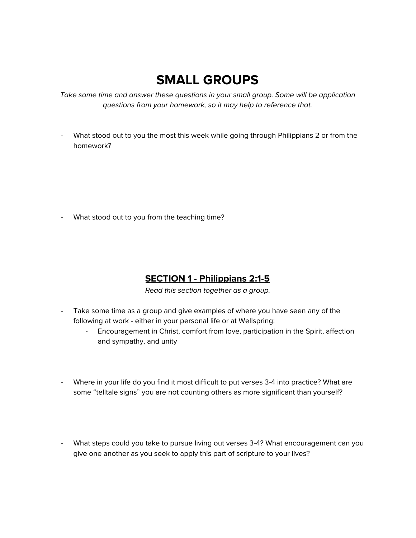## **SMALL GROUPS**

Take some time and answer these questions in your small group. Some will be application questions from your homework, so it may help to reference that.

What stood out to you the most this week while going through Philippians 2 or from the homework?

- What stood out to you from the teaching time?

#### **SECTION 1 - Philippians 2:1-5**

Read this section together as a group.

- Take some time as a group and give examples of where you have seen any of the following at work - either in your personal life or at Wellspring:
	- Encouragement in Christ, comfort from love, participation in the Spirit, affection and sympathy, and unity
- Where in your life do you find it most difficult to put verses 3-4 into practice? What are some "telltale signs" you are not counting others as more significant than yourself?
- What steps could you take to pursue living out verses 3-4? What encouragement can you give one another as you seek to apply this part of scripture to your lives?